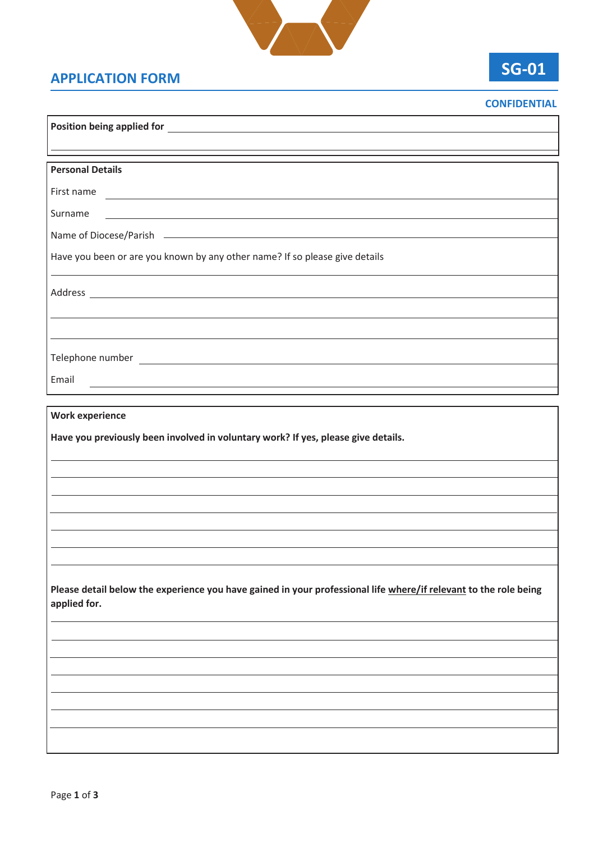

## **APPLICATION FORM**

**Position being applied for** 

## **SG-01**

| <b>CONFIDENTIAL</b> |
|---------------------|
|                     |
|                     |

| <b>Personal Details</b>                                                                                                          |
|----------------------------------------------------------------------------------------------------------------------------------|
| First name                                                                                                                       |
| Surname<br><u> 1989 - Johann Stein, mars an de Britannich (b. 1989)</u>                                                          |
| Name of Diocese/Parish                                                                                                           |
| Have you been or are you known by any other name? If so please give details                                                      |
|                                                                                                                                  |
|                                                                                                                                  |
|                                                                                                                                  |
|                                                                                                                                  |
| Email<br><u> 1989 - Johann Stein, marwolaethau a bhann an t-Amhain an t-Amhain an t-Amhain an t-Amhain an t-Amhain an t-A</u>    |
|                                                                                                                                  |
| <b>Work experience</b>                                                                                                           |
| Have you previously been involved in voluntary work? If yes, please give details.                                                |
|                                                                                                                                  |
|                                                                                                                                  |
| the control of the control of the control of                                                                                     |
|                                                                                                                                  |
|                                                                                                                                  |
|                                                                                                                                  |
|                                                                                                                                  |
| Please detail below the experience you have gained in your professional life where/if relevant to the role being<br>applied for. |
|                                                                                                                                  |
|                                                                                                                                  |
|                                                                                                                                  |
|                                                                                                                                  |
|                                                                                                                                  |
|                                                                                                                                  |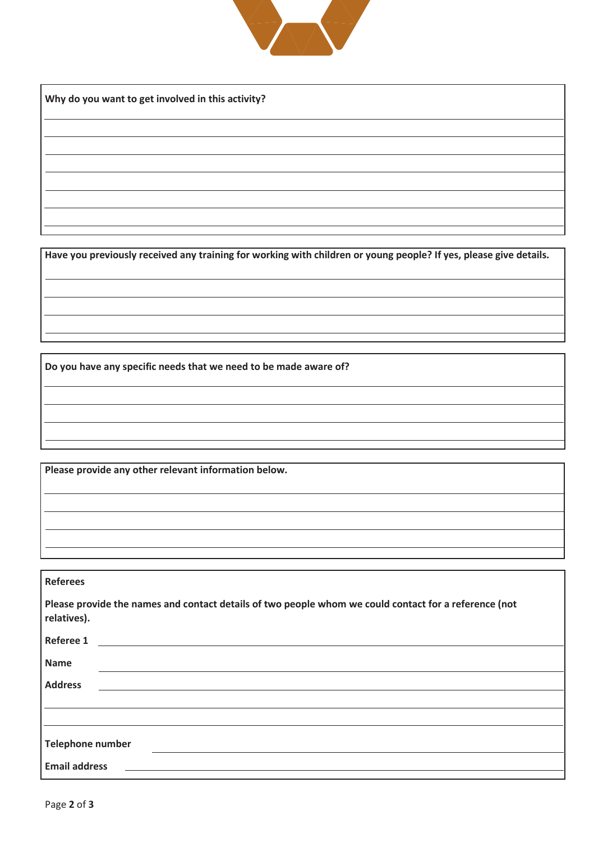

**Why do you want to get involved in this activity?**

**Have you previously received any training for working with children or young people? If yes, please give details.**

**Have you previously received any training for working with children or young people? If yes, please give details.**

**Do you have any specific needs that we need to be made aware of?** 

**Do you have any specific needs that we need to be made aware of?** 

**Please provide any other relevant information below.** 

**Please provide any other relevant information below.** 

| <b>Referees</b>                                                                                                      |  |  |
|----------------------------------------------------------------------------------------------------------------------|--|--|
| Please provide the names and contact details of two people whom we could contact for a reference (not<br>relatives). |  |  |
| Referee 1                                                                                                            |  |  |
| <b>Name</b>                                                                                                          |  |  |
| <b>Address</b>                                                                                                       |  |  |
|                                                                                                                      |  |  |
|                                                                                                                      |  |  |
| <b>Telephone number</b>                                                                                              |  |  |
| <b>Email address</b>                                                                                                 |  |  |

**Referees**